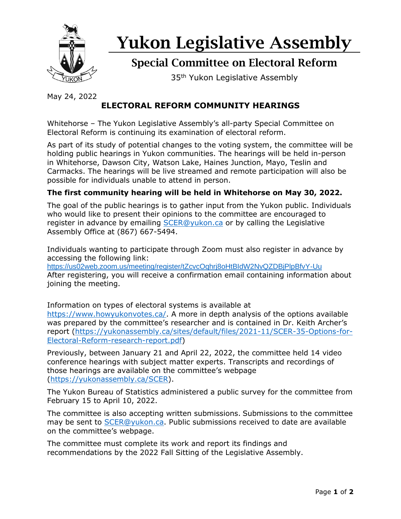

# Yukon Legislative Assembly

## Special Committee on Electoral Reform

35<sup>th</sup> Yukon Legislative Assembly

May 24, 2022

### **ELECTORAL REFORM COMMUNITY HEARINGS**

Whitehorse – The Yukon Legislative Assembly's all-party Special Committee on Electoral Reform is continuing its examination of electoral reform.

As part of its study of potential changes to the voting system, the committee will be holding public hearings in Yukon communities. The hearings will be held in-person in Whitehorse, Dawson City, Watson Lake, Haines Junction, Mayo, Teslin and Carmacks. The hearings will be live streamed and remote participation will also be possible for individuals unable to attend in person.

#### **The first community hearing will be held in Whitehorse on May 30, 2022.**

The goal of the public hearings is to gather input from the Yukon public. Individuals who would like to present their opinions to the committee are encouraged to register in advance by emailing [SCER@yukon.ca](mailto:SCER@yukon.ca) or by calling the Legislative Assembly Office at (867) 667-5494.

Individuals wanting to participate through Zoom must also register in advance by accessing the following link:

[https://us02web.zoom.us/meeting/register/tZcvcOqhrj8oHtBIdW2NvQZDBjPlpBfvY-Uu](https://can01.safelinks.protection.outlook.com/?url=https%3A%2F%2Fus02web.zoom.us%2Fmeeting%2Fregister%2FtZcvcOqhrj8oHtBIdW2NvQZDBjPlpBfvY-Uu&data=05%7C01%7CHelen.Fitzsimmons%40yukon.ca%7Cf8f96903ef7948b5384608da3dc4b048%7C98f515313973490abb70195aa264a2bc%7C0%7C0%7C637890212243082638%7CUnknown%7CTWFpbGZsb3d8eyJWIjoiMC4wLjAwMDAiLCJQIjoiV2luMzIiLCJBTiI6Ik1haWwiLCJXVCI6Mn0%3D%7C3000%7C%7C%7C&sdata=u9T9zy1h%2BQkoRhPKFsWx3nWeO6f1XcxHQmn4zhbt1Pk%3D&reserved=0) After registering, you will receive a confirmation email containing information about joining the meeting.

Information on types of electoral systems is available at [https://www.howyukonvotes.ca/.](https://www.howyukonvotes.ca/) A more in depth analysis of the options available was prepared by the committee's researcher and is contained in Dr. Keith Archer's report [\(https://yukonassembly.ca/sites/default/files/2021-11/SCER-35-Options-for-](https://yukonassembly.ca/sites/default/files/2021-11/SCER-35-Options-for-Electoral-Reform-research-report.pdf)[Electoral-Reform-research-report.pdf\)](https://yukonassembly.ca/sites/default/files/2021-11/SCER-35-Options-for-Electoral-Reform-research-report.pdf)

Previously, between January 21 and April 22, 2022, the committee held 14 video conference hearings with subject matter experts. Transcripts and recordings of those hearings are available on the committee's webpage [\(https://yukonassembly.ca/SCER\)](https://yukonassembly.ca/SCER).

The Yukon Bureau of Statistics administered a public survey for the committee from February 15 to April 10, 2022.

The committee is also accepting written submissions. Submissions to the committee may be sent to [SCER@yukon.ca.](mailto:SCER@yukon.ca) Public submissions received to date are available on the committee's webpage.

The committee must complete its work and report its findings and recommendations by the 2022 Fall Sitting of the Legislative Assembly.